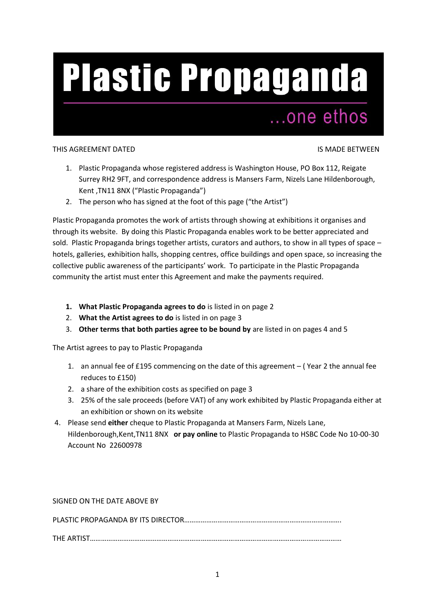# **Plastic Propaganda**

## ...one ethos

## THIS AGREEMENT DATED IS MADE BETWEEN

- 1. Plastic Propaganda whose registered address is Washington House, PO Box 112, Reigate Surrey RH2 9FT, and correspondence address is Mansers Farm, Nizels Lane Hildenborough, Kent ,TN11 8NX ("Plastic Propaganda")
- 2. The person who has signed at the foot of this page ("the Artist")

Plastic Propaganda promotes the work of artists through showing at exhibitions it organises and through its website. By doing this Plastic Propaganda enables work to be better appreciated and sold. Plastic Propaganda brings together artists, curators and authors, to show in all types of space – hotels, galleries, exhibition halls, shopping centres, office buildings and open space, so increasing the collective public awareness of the participants' work. To participate in the Plastic Propaganda community the artist must enter this Agreement and make the payments required.

- **1. What Plastic Propaganda agrees to do** is listed in on page 2
- 2. **What the Artist agrees to do** is listed in on page 3
- 3. **Other terms that both parties agree to be bound by** are listed in on pages 4 and 5

The Artist agrees to pay to Plastic Propaganda

- 1. an annual fee of £195 commencing on the date of this agreement ( Year 2 the annual fee reduces to £150)
- 2. a share of the exhibition costs as specified on page 3
- 3. 25% of the sale proceeds (before VAT) of any work exhibited by Plastic Propaganda either at an exhibition or shown on its website
- 4. Please send **either** cheque to Plastic Propaganda at Mansers Farm, Nizels Lane, Hildenborough,Kent,TN11 8NX **or pay online** to Plastic Propaganda to HSBC Code No 10-00-30 Account No 22600978

SIGNED ON THE DATE ABOVE BY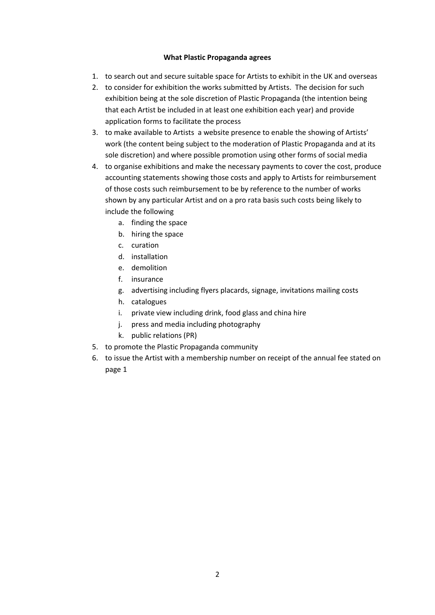## **What Plastic Propaganda agrees**

- 1. to search out and secure suitable space for Artists to exhibit in the UK and overseas
- 2. to consider for exhibition the works submitted by Artists. The decision for such exhibition being at the sole discretion of Plastic Propaganda (the intention being that each Artist be included in at least one exhibition each year) and provide application forms to facilitate the process
- 3. to make available to Artists a website presence to enable the showing of Artists' work (the content being subject to the moderation of Plastic Propaganda and at its sole discretion) and where possible promotion using other forms of social media
- 4. to organise exhibitions and make the necessary payments to cover the cost, produce accounting statements showing those costs and apply to Artists for reimbursement of those costs such reimbursement to be by reference to the number of works shown by any particular Artist and on a pro rata basis such costs being likely to include the following
	- a. finding the space
	- b. hiring the space
	- c. curation
	- d. installation
	- e. demolition
	- f. insurance
	- g. advertising including flyers placards, signage, invitations mailing costs
	- h. catalogues
	- i. private view including drink, food glass and china hire
	- j. press and media including photography
	- k. public relations (PR)
- 5. to promote the Plastic Propaganda community
- 6. to issue the Artist with a membership number on receipt of the annual fee stated on page 1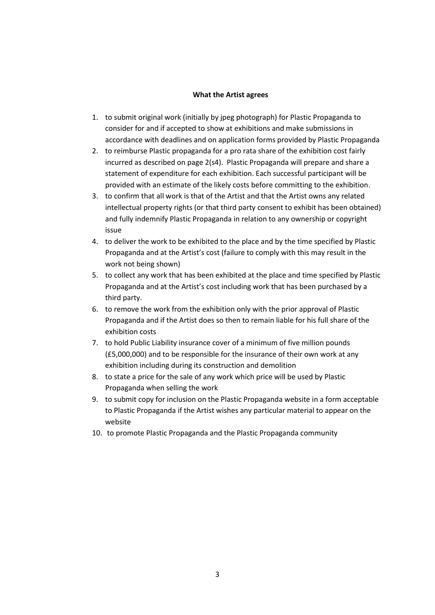### **What the Artist agrees**

- 1. to submit original work (initially by jpeg photograph) for Plastic Propaganda to consider for and if accepted to show at exhibitions and make submissions in accordance with deadlines and on application forms provided by Plastic Propaganda
- 2. to reimburse Plastic propaganda for a pro rata share of the exhibition cost fairly incurred as described on page 2(s4). Plastic Propaganda will prepare and share a statement of expenditure for each exhibition. Each successful participant will be provided with an estimate of the likely costs before committing to the exhibition.
- 3. to confirm that all work is that of the Artist and that the Artist owns any related intellectual property rights (or that third party consent to exhibit has been obtained) and fully indemnify Plastic Propaganda in relation to any ownership or copyright issue
- 4. to deliver the work to be exhibited to the place and by the time specified by Plastic Propaganda and at the Artist's cost (failure to comply with this may result in the work not being shown)
- 5. to collect any work that has been exhibited at the place and time specified by Plastic Propaganda and at the Artist's cost including work that has been purchased by a third party.
- 6. to remove the work from the exhibition only with the prior approval of Plastic Propaganda and if the Artist does so then to remain liable for his full share of the exhibition costs
- 7. to hold Public Liability insurance cover of a minimum of five million pounds (£5,000,000) and to be responsible for the insurance of their own work at any exhibition including during its construction and demolition
- 8. to state a price for the sale of any work which price will be used by Plastic Propaganda when selling the work
- 9. to submit copy for inclusion on the Plastic Propaganda website in a form acceptable to Plastic Propaganda if the Artist wishes any particular material to appear on the website
- 10. to promote Plastic Propaganda and the Plastic Propaganda community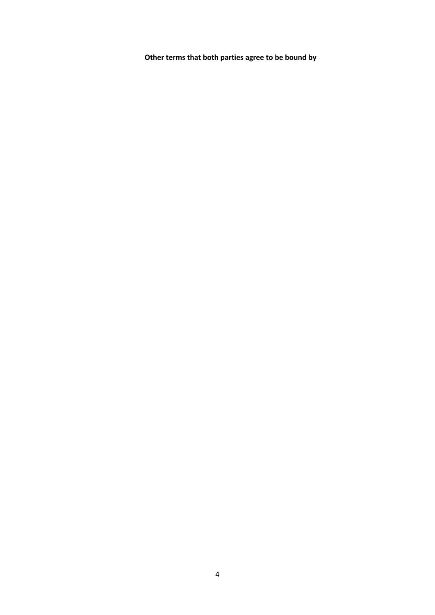**Other terms that both parties agree to be bound by**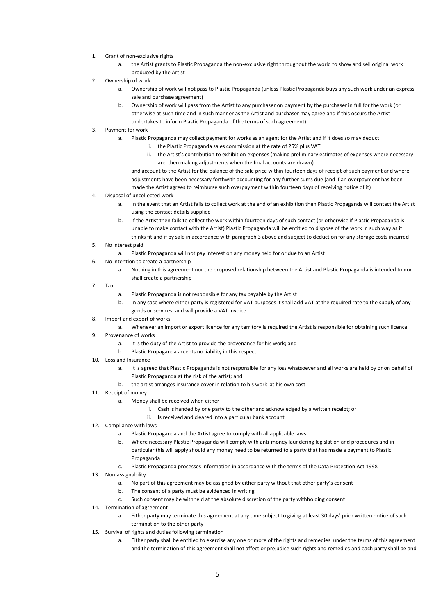- 1. Grant of non-exclusive rights
	- a. the Artist grants to Plastic Propaganda the non-exclusive right throughout the world to show and sell original work produced by the Artist
- 2. Ownership of work
	- a. Ownership of work will not pass to Plastic Propaganda (unless Plastic Propaganda buys any such work under an express sale and purchase agreement)
	- b. Ownership of work will pass from the Artist to any purchaser on payment by the purchaser in full for the work (or otherwise at such time and in such manner as the Artist and purchaser may agree and if this occurs the Artist undertakes to inform Plastic Propaganda of the terms of such agreement)
- 3. Payment for work
	- a. Plastic Propaganda may collect payment for works as an agent for the Artist and if it does so may deduct
		- i. the Plastic Propaganda sales commission at the rate of 25% plus VAT
		- ii. the Artist's contribution to exhibition expenses (making preliminary estimates of expenses where necessary and then making adjustments when the final accounts are drawn)

and account to the Artist for the balance of the sale price within fourteen days of receipt of such payment and where adjustments have been necessary forthwith accounting for any further sums due (and if an overpayment has been made the Artist agrees to reimburse such overpayment within fourteen days of receiving notice of it)

- 4. Disposal of uncollected work
	- a. In the event that an Artist fails to collect work at the end of an exhibition then Plastic Propaganda will contact the Artist using the contact details supplied
	- b. If the Artist then fails to collect the work within fourteen days of such contact (or otherwise if Plastic Propaganda is unable to make contact with the Artist) Plastic Propaganda will be entitled to dispose of the work in such way as it thinks fit and if by sale in accordance with paragraph 3 above and subject to deduction for any storage costs incurred
- 5. No interest paid
	- a. Plastic Propaganda will not pay interest on any money held for or due to an Artist
- 6. No intention to create a partnership
	- a. Nothing in this agreement nor the proposed relationship between the Artist and Plastic Propaganda is intended to nor shall create a partnership
- 7. Tax
- a. Plastic Propaganda is not responsible for any tax payable by the Artist
- b. In any case where either party is registered for VAT purposes it shall add VAT at the required rate to the supply of any goods or services and will provide a VAT invoice
- 8. Import and export of works
	- a. Whenever an import or export licence for any territory is required the Artist is responsible for obtaining such licence
- 9. Provenance of works
	- a. It is the duty of the Artist to provide the provenance for his work; and
	- b. Plastic Propaganda accepts no liability in this respect
- 10. Loss and Insurance
	- a. It is agreed that Plastic Propaganda is not responsible for any loss whatsoever and all works are held by or on behalf of Plastic Propaganda at the risk of the artist; and
	- b. the artist arranges insurance cover in relation to his work at his own cost
- 11. Receipt of money
	- a. Money shall be received when either
		- i. Cash is handed by one party to the other and acknowledged by a written receipt; or
			- ii. Is received and cleared into a particular bank account
- 12. Compliance with laws
	- a. Plastic Propaganda and the Artist agree to comply with all applicable laws
	- b. Where necessary Plastic Propaganda will comply with anti-money laundering legislation and procedures and in particular this will apply should any money need to be returned to a party that has made a payment to Plastic Propaganda
	- c. Plastic Propaganda processes information in accordance with the terms of the Data Protection Act 1998
- 13. Non-assignability
	- a. No part of this agreement may be assigned by either party without that other party's consent
	- b. The consent of a party must be evidenced in writing
	- c. Such consent may be withheld at the absolute discretion of the party withholding consent
- 14. Termination of agreement
	- a. Either party may terminate this agreement at any time subject to giving at least 30 days' prior written notice of such termination to the other party
- 15. Survival of rights and duties following termination
	- a. Either party shall be entitled to exercise any one or more of the rights and remedies under the terms of this agreement and the termination of this agreement shall not affect or prejudice such rights and remedies and each party shall be and